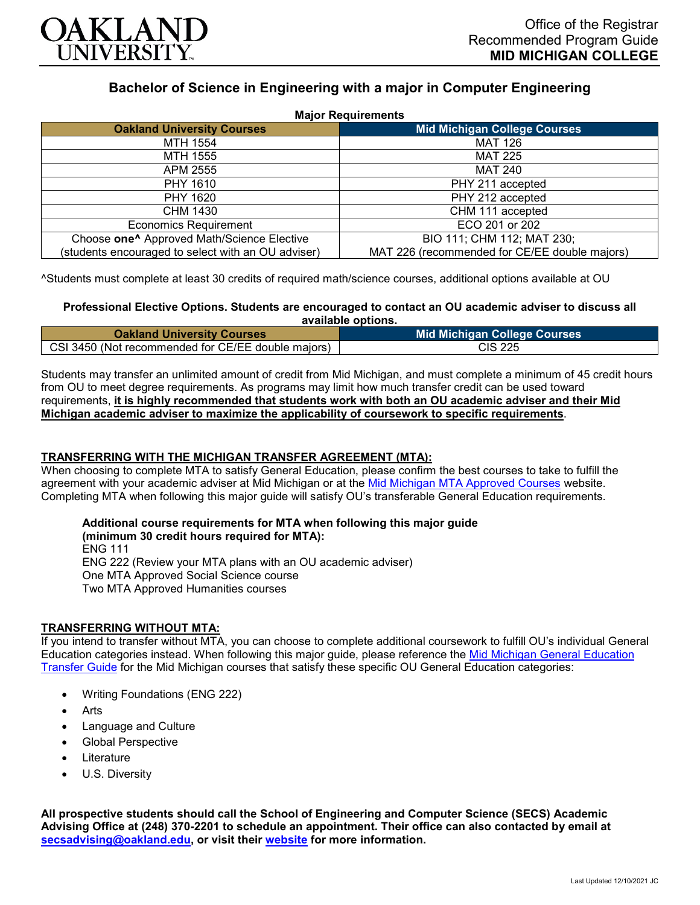

## **Bachelor of Science in Engineering with a major in Computer Engineering**

| <b>Major Requirements</b>                              |                                               |
|--------------------------------------------------------|-----------------------------------------------|
| <b>Oakland University Courses</b>                      | <b>Mid Michigan College Courses</b>           |
| MTH 1554                                               | <b>MAT 126</b>                                |
| MTH 1555                                               | <b>MAT 225</b>                                |
| APM 2555                                               | <b>MAT 240</b>                                |
| PHY 1610                                               | PHY 211 accepted                              |
| PHY 1620                                               | PHY 212 accepted                              |
| CHM 1430                                               | CHM 111 accepted                              |
| <b>Economics Requirement</b>                           | ECO 201 or 202                                |
| Choose one <sup>^</sup> Approved Math/Science Elective | BIO 111; CHM 112; MAT 230;                    |
| (students encouraged to select with an OU adviser)     | MAT 226 (recommended for CE/EE double majors) |

^Students must complete at least 30 credits of required math/science courses, additional options available at OU

#### **Professional Elective Options. Students are encouraged to contact an OU academic adviser to discuss all available options.**

| <b>Oakland University Courses</b>                  | Mid Michigan College Courses <b>I</b> |
|----------------------------------------------------|---------------------------------------|
| CSI 3450 (Not recommended for CE/EE double majors) | CIS 225                               |

Students may transfer an unlimited amount of credit from Mid Michigan, and must complete a minimum of 45 credit hours from OU to meet degree requirements. As programs may limit how much transfer credit can be used toward requirements, **it is highly recommended that students work with both an OU academic adviser and their Mid Michigan academic adviser to maximize the applicability of coursework to specific requirements**.

### **TRANSFERRING WITH THE MICHIGAN TRANSFER AGREEMENT (MTA):**

When choosing to complete MTA to satisfy General Education, please confirm the best courses to take to fulfill the agreement with your academic adviser at Mid Michigan or at the [Mid Michigan MTA Approved Courses](https://www.midmich.edu/academics/transfer/mta) website. Completing MTA when following this major guide will satisfy OU's transferable General Education requirements.

# **Additional course requirements for MTA when following this major guide**

**(minimum 30 credit hours required for MTA):** ENG 111 ENG 222 (Review your MTA plans with an OU academic adviser) One MTA Approved Social Science course Two MTA Approved Humanities courses

### **TRANSFERRING WITHOUT MTA:**

If you intend to transfer without MTA, you can choose to complete additional coursework to fulfill OU's individual General Education categories instead. When following this major guide, please reference the [Mid Michigan General Education](https://www.oakland.edu/Assets/Oakland/program-guides/mid-michigan-community-college/university-general-education-requirements/Mid%20Michigan%20Gen%20Ed.pdf)  [Transfer Guide](https://www.oakland.edu/Assets/Oakland/program-guides/mid-michigan-community-college/university-general-education-requirements/Mid%20Michigan%20Gen%20Ed.pdf) for the Mid Michigan courses that satisfy these specific OU General Education categories:

- Writing Foundations (ENG 222)
- Arts
- Language and Culture
- Global Perspective
- **Literature**
- U.S. Diversity

**All prospective students should call the School of Engineering and Computer Science (SECS) Academic Advising Office at (248) 370-2201 to schedule an appointment. Their office can also contacted by email at [secsadvising@oakland.edu,](mailto:secsadvising@oakland.edu) or visit their [website](https://wwwp.oakland.edu/secs/advising/) for more information.**